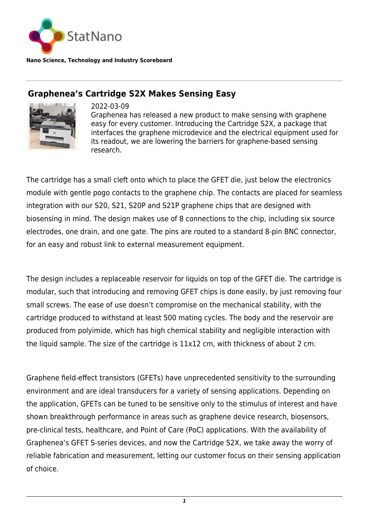

**Nano Science, Technology and Industry Scoreboard**

## **Graphenea's Cartridge S2X Makes Sensing Easy**



2022-03-09 Graphenea has released a new product to make sensing with graphene easy for every customer. Introducing the Cartridge S2X, a package that interfaces the graphene microdevice and the electrical equipment used for its readout, we are lowering the barriers for graphene-based sensing research.

The cartridge has a small cleft onto which to place the GFET die, just below the electronics module with gentle pogo contacts to the graphene chip. The contacts are placed for seamless integration with our S20, S21, S20P and S21P graphene chips that are designed with biosensing in mind. The design makes use of 8 connections to the chip, including six source electrodes, one drain, and one gate. The pins are routed to a standard 8-pin BNC connector, for an easy and robust link to external measurement equipment.

The design includes a replaceable reservoir for liquids on top of the GFET die. The cartridge is modular, such that introducing and removing GFET chips is done easily, by just removing four small screws. The ease of use doesn't compromise on the mechanical stability, with the cartridge produced to withstand at least 500 mating cycles. The body and the reservoir are produced from polyimide, which has high chemical stability and negligible interaction with the liquid sample. The size of the cartridge is 11x12 cm, with thickness of about 2 cm.

Graphene field-effect transistors (GFETs) have unprecedented sensitivity to the surrounding environment and are ideal transducers for a variety of sensing applications. Depending on the application, GFETs can be tuned to be sensitive only to the stimulus of interest and have shown breakthrough performance in areas such as graphene device research, biosensors, pre-clinical tests, healthcare, and Point of Care (PoC) applications. With the availability of Graphenea's GFET S-series devices, and now the Cartridge S2X, we take away the worry of reliable fabrication and measurement, letting our customer focus on their sensing application of choice.